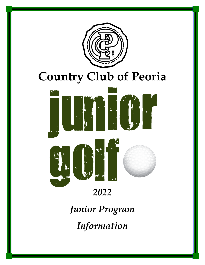

# *2022*

*Junior Program Information*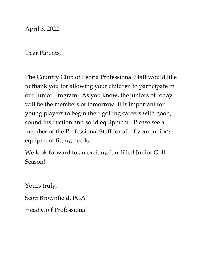April 3, 2022

Dear Parents,

The Country Club of Peoria Professional Staff would like to thank you for allowing your children to participate in our Junior Program. As you know, the juniors of today will be the members of tomorrow. It is important for young players to begin their golfing careers with good, sound instruction and solid equipment. Please see a member of the Professional Staff for all of your junior's equipment fitting needs.

We look forward to an exciting fun-filled Junior Golf Season!

Yours truly, Scott Brownfield, PGA Head Golf Professional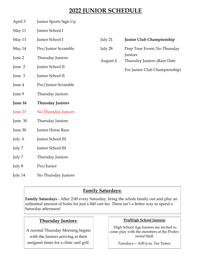### **2022 JUNIOR SCHEDULE**

- April 3 Junior Sports Sign Up
- May 11 Junior School I

May 13 Junior School I

- May 14 Pro/Junior Scramble
- June 2 Thursday Juniors
- June 2 Junior School II
- June 3 Junior School II
- June 4 Pro/Junior Scramble
- June 9 Thursday Juniors
- **June 16 Thursday Juniors**
- June 23 No Thursday Juniors
- June 30 Thursday Juniors
- June 30 Junior Horse Race
- July 6 Junior School III
- July 7 Junior School III
- July 7 Thursday Juniors
- July 8 Pro/Junior
- July 14 No Thursday Juniors

# July 21 **Junior Club Championship** July 28 Prep Tour Event; No Thursday **Juniors** August 4 Thursday Juniors (Rain Date For Junior Club Championship)

#### **Family Saturdays:**

**Family Saturdays** - After 2:00 every Saturday, bring the whole family out and play an unlimited amount of holes for just a \$40 cart fee. There isn't a better way to spend a Saturday afternoon!

#### **Thursday Juniors**:

A normal Thursday Morning begins with the Juniors arriving at their assigned times for a clinic and golf.

#### **Pro/High School Juniors:**

High School Age Juniors are invited to come play with the members of the Professional Staff.

Tuesdays— 4:00 p.m. Tee Times.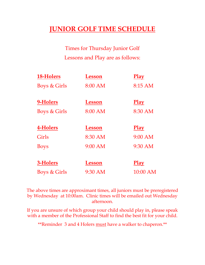# **JUNIOR GOLF TIME SCHEDULE**

Times for Thursday Junior Golf Lessons and Play are as follows:

| 18-Holers               | Lesson        | <b>Play</b> |
|-------------------------|---------------|-------------|
| <b>Boys &amp; Girls</b> | 8:00 AM       | 8:15 AM     |
| 9-Holers                | <b>Lesson</b> | <b>Play</b> |
| <b>Boys &amp; Girls</b> | 8:00 AM       | 8:30 AM     |
| 4-Holers                | <b>Lesson</b> | <b>Play</b> |
| Girls                   | 8:30 AM       | 9:00 AM     |
| <b>Boys</b>             | 9:00 AM       | 9:30 AM     |
| 3-Holers                | Lesson        | <u>Play</u> |
| <b>Boys &amp; Girls</b> | 9:30 AM       | 10:00 AM    |

The above times are approximant times, all juniors must be preregistered by Wednesday at 10:00am. Clinic times will be emailed out Wednesday afternoon.

If you are unsure of which group your child should play in, please speak with a member of the Professional Staff to find the best fit for your child.

\*\*Reminder 3 and 4 Holers must have a walker to chaperon.\*\*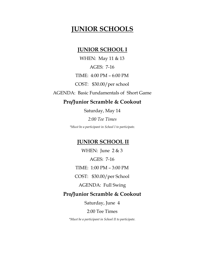### **JUNIOR SCHOOLS**

#### **JUNIOR SCHOOL I**

WHEN: May 11 & 13 AGES: 7-16 TIME: 4:00 PM – 6:00 PM COST: \$30.00/per school AGENDA: Basic Fundamentals of Short Game

#### **Pro/Junior Scramble & Cookout**

Saturday, May 14

*2:00 Tee Times*

*\*Must be a participant in School I to participate.*

#### **JUNIOR SCHOOL II**

WHEN: June  $2 \& 3$ AGES: 7-16 TIME: 1:00 PM – 3:00 PM

COST: \$30.00/per School

AGENDA: Full Swing

#### **Pro/Junior Scramble & Cookout**

Saturday, June 4

2:00 Tee Times

*\*Must be a participant in School II to participate.*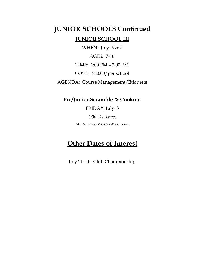### **JUNIOR SCHOOLS Continued**

#### **JUNIOR SCHOOL III**

WHEN: July 6 & 7 AGES: 7-16 TIME: 1:00 PM – 3:00 PM COST: \$30.00/per school AGENDA: Course Management/Etiquette

#### **Pro/Junior Scramble & Cookout**

#### FRIDAY, July 8

#### *2:00 Tee Times*

*\*Must be a participant in School III to participate.*

### **Other Dates of Interest**

July 21—Jr. Club Championship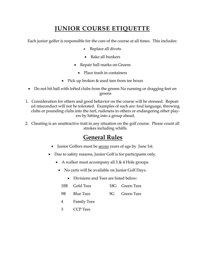## **JUNIOR COURSE ETIQUETTE**

Each junior golfer is responsible for the care of the course at all times. This includes:

- Replace all divots
- Rake all bunkers
- Repair ball marks on Greens
	- Place trash in containers
- Pick up broken & used tees from tee boxes
- Do not hit ball with lofted clubs from the greens No running or dragging feet on greens
- 1. Consideration for others and good behavior on the course will be stressed. Repeated misconduct will not be tolerated. Examples of such are: foul language, throwing clubs or pounding clubs into the turf, rudeness to others or endangering other players by hitting into a group ahead.
- 2. Cheating is an unattractive trait in any situation on the golf course. Please count all strokes including whiffs.

### **General Rules**

- Junior Golfers must be <u>seven</u> years of age by June 1st.
- Due to safety reasons, Junior Golf is for participants only.
	- A walker must accompany all 3 & 4 Hole groups.
		- No carts will be available on Junior Golf Days.
			- Divisions and Tees are listed below:
			- 18B Gold Tees 18G Green Tees
		- 9B Blue Tees 9G Green Tees
		- 4 Family Tees
		- 3 CCP Tees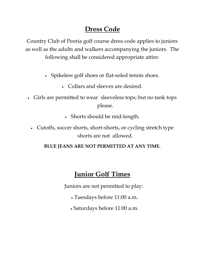# **Dress Code**

Country Club of Peoria golf course dress code applies to juniors as well as the adults and walkers accompanying the juniors. The following shall be considered appropriate attire:

- Spikeless golf shoes or flat-soled tennis shoes.
	- Collars and sleeves are desired.
- Girls are permitted to wear sleeveless tops; but no tank tops please.
	- Shorts should be mid-length.
	- Cutoffs, soccer shorts, short-shorts, or cycling stretch type shorts are not allowed.

### **BLUE JEANS ARE NOT PERMITTED AT ANY TIME.**

# **Junior Golf Times**

Juniors are not permitted to play:

- Tuesdays before 11:00 a.m.
- Saturdays before 11:00 a.m.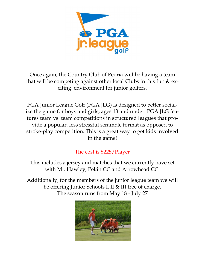

Once again, the Country Club of Peoria will be having a team that will be competing against other local Clubs in this fun & exciting environment for junior golfers.

PGA Junior League Golf (PGA JLG) is designed to better socialize the game for boys and girls, ages 13 and under. PGA JLG features team vs. team competitions in structured leagues that provide a popular, less stressful scramble format as opposed to stroke-play competition. This is a great way to get kids involved in the game!

### The cost is \$225/Player

This includes a jersey and matches that we currently have set with Mt. Hawley, Pekin CC and Arrowhead CC.

Additionally, for the members of the junior league team we will be offering Junior Schools I, II & III free of charge. The season runs from May 18 - July 27

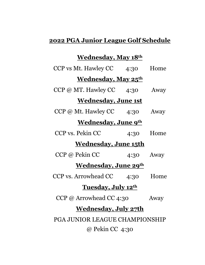# **2022 PGA Junior League Golf Schedule**

# **Wednesday, May 18th**

| CCP vs Mt. Hawley CC 4:30       |           | Home        |  |  |
|---------------------------------|-----------|-------------|--|--|
| <u>Wednesday, May 25th</u>      |           |             |  |  |
| $CCP @ MT.$ Hawley $CC \t 4:30$ |           | Away        |  |  |
| <u>Wednesday, June 1st</u>      |           |             |  |  |
| CCP @ Mt. Hawley CC             | 4:30 Away |             |  |  |
| <b>Wednesday, June 9th</b>      |           |             |  |  |
| CCP vs. Pekin CC                | 4:30      | Home        |  |  |
| <u>Wednesday, June 15th</u>     |           |             |  |  |
| CCP @ Pekin CC                  |           | $4:30$ Away |  |  |
| <b>Wednesday, June 29th</b>     |           |             |  |  |
| CCP vs. Arrowhead CC 4:30       |           | Home        |  |  |
| Tuesday, July 12th              |           |             |  |  |
| CCP @ Arrowhead CC 4:30         |           | Away        |  |  |
| <u>Wednesday, July 27th</u>     |           |             |  |  |
| PGA JUNIOR LEAGUE CHAMPIONSHIP  |           |             |  |  |
| @ Pekin CC 4:30                 |           |             |  |  |